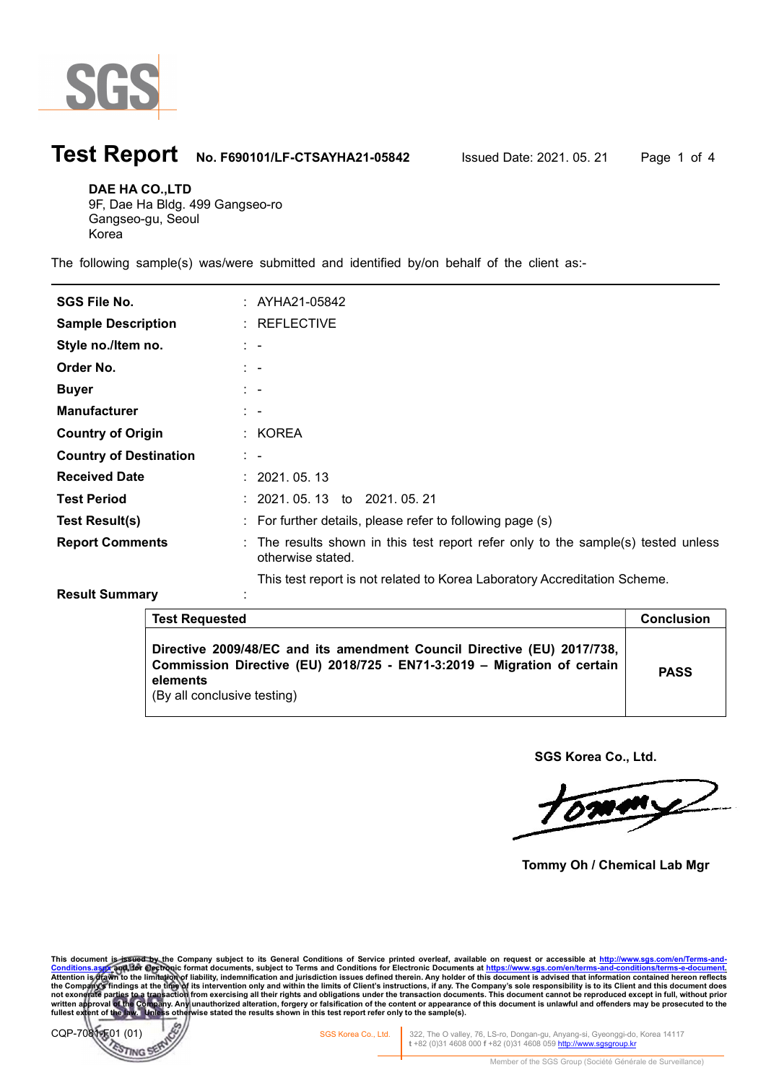

## **Test Report** No. F690101/LF-CTSAYHA21-05842 Issued Date: 2021. 05. 21 Page 1 of 4

DAE HA CO.,LTD 9F, Dae Ha Bldg. 499 Gangseo-ro

Gangseo-gu, Seoul Korea

The following sample(s) was/were submitted and identified by/on behalf of the client as:-

| <b>SGS File No.</b>           | : AYHA21-05842                                                                                         |
|-------------------------------|--------------------------------------------------------------------------------------------------------|
| <b>Sample Description</b>     | $:$ REFLECTIVE                                                                                         |
| Style no./Item no.            | $1 - -$                                                                                                |
| Order No.                     | $1 - -$                                                                                                |
| <b>Buyer</b>                  | $\mathbb{R}^n$                                                                                         |
| <b>Manufacturer</b>           | $\mathbb{R}^n$                                                                                         |
| <b>Country of Origin</b>      | : KOREA                                                                                                |
| <b>Country of Destination</b> | $\mathbb{Z}^2$                                                                                         |
| <b>Received Date</b>          | : 2021.05.13                                                                                           |
| <b>Test Period</b>            | $: 2021.05.13$ to $2021.05.21$                                                                         |
| <b>Test Result(s)</b>         | $:$ For further details, please refer to following page $(s)$                                          |
| <b>Report Comments</b>        | : The results shown in this test report refer only to the sample(s) tested unless<br>otherwise stated. |
|                               | This test report is not related to Korea Laboratory Accreditation Scheme.                              |

### Result Summary intervals.

| <b>Test Requested</b>                                                                                                                                                                         | Conclusion  |
|-----------------------------------------------------------------------------------------------------------------------------------------------------------------------------------------------|-------------|
| Directive 2009/48/EC and its amendment Council Directive (EU) 2017/738,<br>Commission Directive (EU) 2018/725 - EN71-3:2019 - Migration of certain<br>elements<br>(By all conclusive testing) | <b>PASS</b> |

SGS Korea Co., Ltd.

<u>l</u>

Tommy Oh / Chemical Lab Mgr

This document is issued by the Company subject to its General Conditions of Service printed overleaf, available on request or accessible at http://www.sgs.com/en/Terms-and-Conditions.asys.com/en/Terms-and-Conditions.asys.c

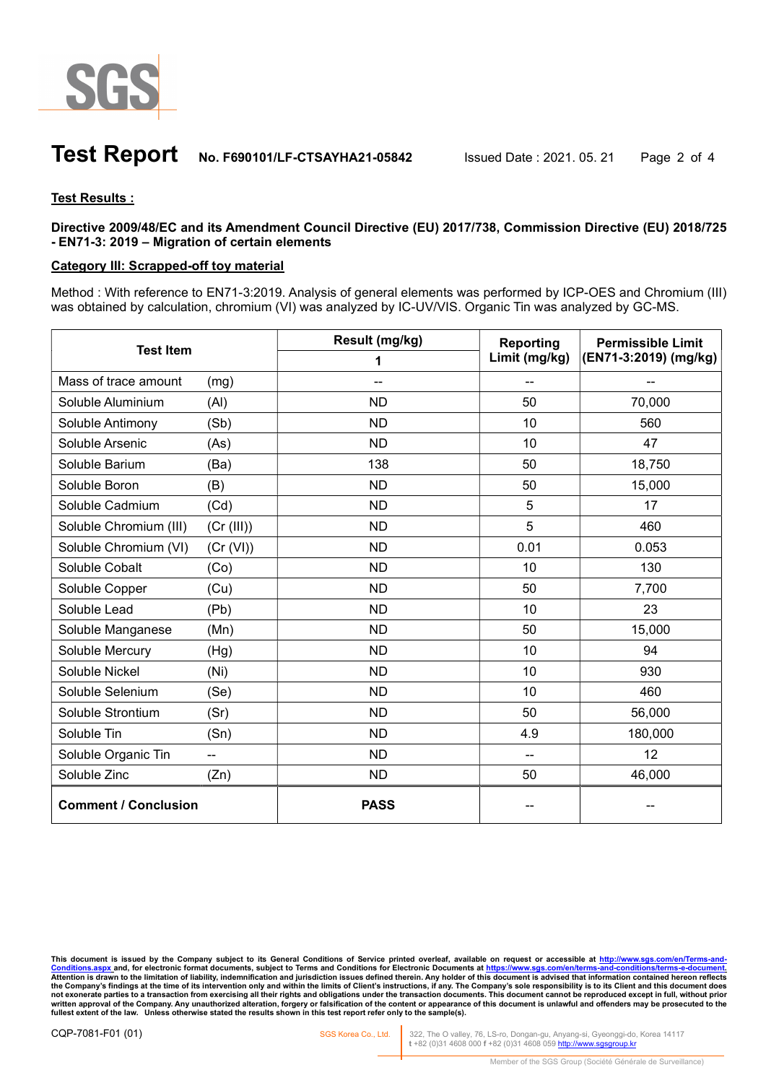

### **Test Report** No. F690101/LF-CTSAYHA21-05842 Issued Date : 2021. 05. 21 Page 2 of 4

### Test Results :

Directive 2009/48/EC and its Amendment Council Directive (EU) 2017/738, Commission Directive (EU) 2018/725 - EN71-3: 2019 – Migration of certain elements

### Category III: Scrapped-off toy material

Method : With reference to EN71-3:2019. Analysis of general elements was performed by ICP-OES and Chromium (III) was obtained by calculation, chromium (VI) was analyzed by IC-UV/VIS. Organic Tin was analyzed by GC-MS.

| <b>Test Item</b>            |            | Result (mg/kg) | Reporting                              | <b>Permissible Limit</b> |
|-----------------------------|------------|----------------|----------------------------------------|--------------------------|
|                             |            | 1              | Limit (mg/kg)<br>(EN71-3:2019) (mg/kg) |                          |
| Mass of trace amount        | (mg)       |                | --                                     |                          |
| Soluble Aluminium           | (Al)       | <b>ND</b>      | 50                                     | 70,000                   |
| Soluble Antimony            | (Sb)       | <b>ND</b>      | 10                                     | 560                      |
| Soluble Arsenic             | (As)       | <b>ND</b>      | 10                                     | 47                       |
| Soluble Barium              | (Ba)       | 138            | 50                                     | 18,750                   |
| Soluble Boron               | (B)        | <b>ND</b>      | 50                                     | 15,000                   |
| Soluble Cadmium             | (Cd)       | <b>ND</b>      | 5                                      | 17                       |
| Soluble Chromium (III)      | (Cr (III)) | <b>ND</b>      | 5                                      | 460                      |
| Soluble Chromium (VI)       | (Cr (VI))  | <b>ND</b>      | 0.01                                   | 0.053                    |
| Soluble Cobalt              | (Co)       | <b>ND</b>      | 10                                     | 130                      |
| Soluble Copper              | (Cu)       | <b>ND</b>      | 50                                     | 7,700                    |
| Soluble Lead                | (Pb)       | <b>ND</b>      | 10                                     | 23                       |
| Soluble Manganese           | (Mn)       | <b>ND</b>      | 50                                     | 15,000                   |
| Soluble Mercury             | (Hg)       | <b>ND</b>      | 10                                     | 94                       |
| Soluble Nickel              | (Ni)       | <b>ND</b>      | 10                                     | 930                      |
| Soluble Selenium            | (Se)       | <b>ND</b>      | 10                                     | 460                      |
| Soluble Strontium           | (Sr)       | <b>ND</b>      | 50                                     | 56,000                   |
| Soluble Tin                 | (Sn)       | <b>ND</b>      | 4.9                                    | 180,000                  |
| Soluble Organic Tin         |            | <b>ND</b>      | $\overline{a}$                         | 12                       |
| Soluble Zinc                | (Zn)       | <b>ND</b>      | 50                                     | 46,000                   |
| <b>Comment / Conclusion</b> |            | <b>PASS</b>    |                                        |                          |

This document is issued by the Company subject to its General Conditions of Service printed overleaf, available on request or accessible at <u>http://www.sgs.com/en/Terms-and-</u><br><u>Conditions.aspx </u>and, for electronic format do Attention is drawn to the limitation of liability, indemnification and jurisdiction issues defined therein. Any holder of this document is advised that information contained hereon reflects<br>the Company's findings at the ti not exonerate parties to a transaction from exercising all their rights and obligations under the transaction documents. This document cannot be reproduced except in full, without prior<br>written approval of the Company. Any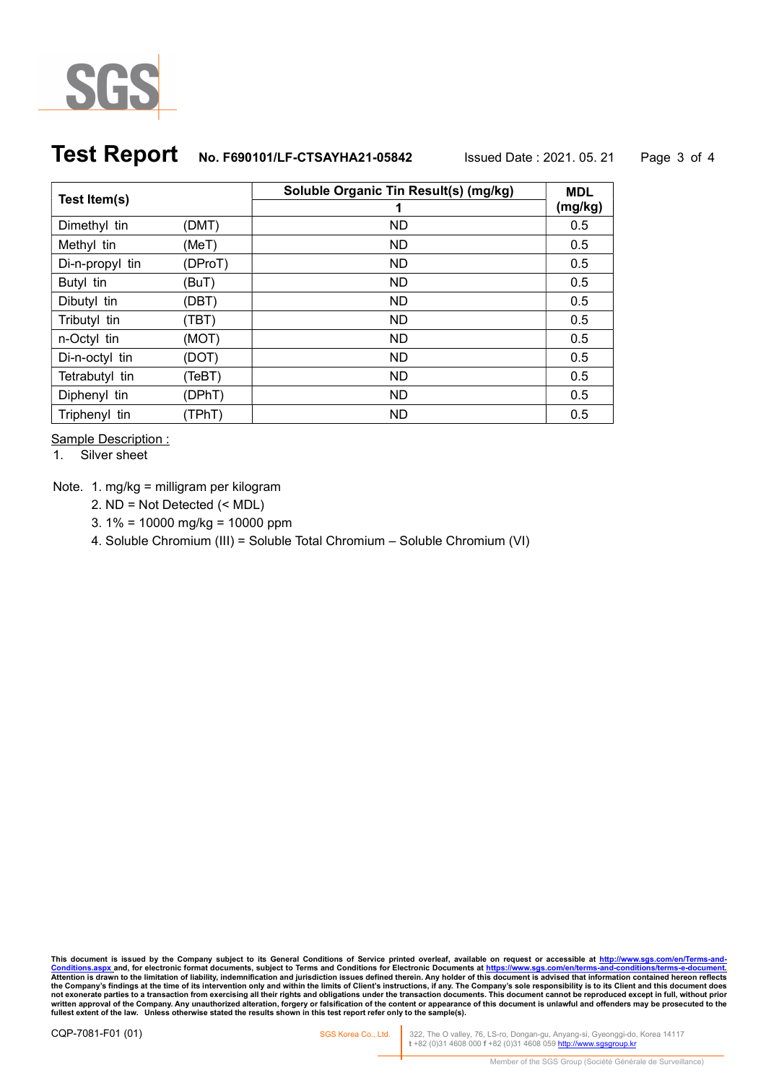

# **Test Report** No. F690101/LF-CTSAYHA21-05842 Issued Date : 2021. 05. 21 Page 3 of 4

|                 |         | Soluble Organic Tin Result(s) (mg/kg) | <b>MDL</b> |
|-----------------|---------|---------------------------------------|------------|
| Test Item(s)    |         | 1                                     | (mg/kg)    |
| Dimethyl tin    | (DMT)   | ND                                    | 0.5        |
| Methyl tin      | (MeT)   | ND.                                   | 0.5        |
| Di-n-propyl tin | (DProT) | <b>ND</b>                             | 0.5        |
| Butyl tin       | (BuT)   | <b>ND</b>                             | 0.5        |
| Dibutyl tin     | (DBT)   | <b>ND</b>                             | 0.5        |
| Tributyl tin    | (TBT)   | <b>ND</b>                             | 0.5        |
| n-Octyl tin     | (MOT)   | <b>ND</b>                             | 0.5        |
| Di-n-octyl tin  | (DOT)   | <b>ND</b>                             | 0.5        |
| Tetrabutyl tin  | (TeBT)  | <b>ND</b>                             | 0.5        |
| Diphenyl tin    | (DPhT)  | ND.                                   | 0.5        |
| Triphenyl tin   | (TPhT)  | ND.                                   | 0.5        |

Sample Description :

1. Silver sheet

Note. 1. mg/kg = milligram per kilogram

- 2. ND = Not Detected (< MDL)
- 3. 1% = 10000 mg/kg = 10000 ppm
- 4. Soluble Chromium (III) = Soluble Total Chromium Soluble Chromium (VI)

This document is issued by the Company subject to its General Conditions of Service printed overleaf, available on request or accessible at <u>http://www.sgs.com/en/Terms-and-</u><br><u>Conditions.aspx.</u>and, for electronic format do not exonerate parties to a transaction from exercising all their rights and obligations under the transaction documents. This document cannot be reproduced except in full, without prior<br>written approval of the Company. Any